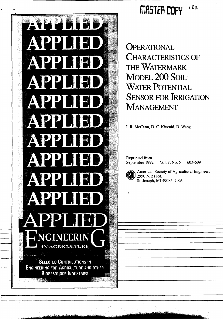

## **MIER COPY**  $783$

**OPERATIONAL** CHARACTERISTICS OF THE WATERMARK MODEL 200 SOIL WATER POTENTIAL SENSOR FOR IRRIGATION MANAGEMENT

I. R. McCann, D. C. Kincaid, D. Wang

Reprinted from

September 1992 Vol. 8, No. 5 603-609



American Society of Agricultural Engineers 2950 Niles Rd. St. Joseph, MI 49085 USA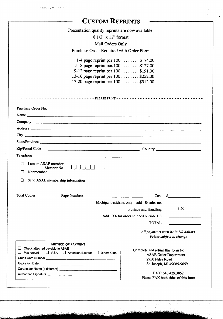| <b>CUSTOM REPRINTS</b>                                                                                                                                                                                                                   |                                              |                                                                                                                        |  |  |  |  |
|------------------------------------------------------------------------------------------------------------------------------------------------------------------------------------------------------------------------------------------|----------------------------------------------|------------------------------------------------------------------------------------------------------------------------|--|--|--|--|
| Presentation quality reprints are now available.                                                                                                                                                                                         |                                              |                                                                                                                        |  |  |  |  |
| 8 1/2" x 11" format                                                                                                                                                                                                                      |                                              |                                                                                                                        |  |  |  |  |
| Mail Orders Only                                                                                                                                                                                                                         |                                              |                                                                                                                        |  |  |  |  |
| Purchase Order Required with Order Form                                                                                                                                                                                                  |                                              |                                                                                                                        |  |  |  |  |
|                                                                                                                                                                                                                                          |                                              |                                                                                                                        |  |  |  |  |
| 1-4 page reprint per $100$ $\ldots$ \$ 74.00                                                                                                                                                                                             |                                              |                                                                                                                        |  |  |  |  |
| 5-8 page reprint per 100 \$127.00<br>9-12 page reprint per 100 \$191.00                                                                                                                                                                  |                                              |                                                                                                                        |  |  |  |  |
| 13-16 page reprint per 100 \$252.00                                                                                                                                                                                                      |                                              |                                                                                                                        |  |  |  |  |
| 17-20 page reprint per 100 \$312.00                                                                                                                                                                                                      |                                              |                                                                                                                        |  |  |  |  |
|                                                                                                                                                                                                                                          |                                              |                                                                                                                        |  |  |  |  |
|                                                                                                                                                                                                                                          |                                              |                                                                                                                        |  |  |  |  |
| Purchase Order No.                                                                                                                                                                                                                       |                                              |                                                                                                                        |  |  |  |  |
|                                                                                                                                                                                                                                          |                                              |                                                                                                                        |  |  |  |  |
|                                                                                                                                                                                                                                          |                                              |                                                                                                                        |  |  |  |  |
|                                                                                                                                                                                                                                          |                                              |                                                                                                                        |  |  |  |  |
|                                                                                                                                                                                                                                          |                                              |                                                                                                                        |  |  |  |  |
|                                                                                                                                                                                                                                          |                                              |                                                                                                                        |  |  |  |  |
|                                                                                                                                                                                                                                          |                                              |                                                                                                                        |  |  |  |  |
|                                                                                                                                                                                                                                          |                                              |                                                                                                                        |  |  |  |  |
|                                                                                                                                                                                                                                          |                                              |                                                                                                                        |  |  |  |  |
| I am an ASAE member                                                                                                                                                                                                                      |                                              |                                                                                                                        |  |  |  |  |
| Member No.<br>Nonmember<br>ГΙ                                                                                                                                                                                                            |                                              |                                                                                                                        |  |  |  |  |
|                                                                                                                                                                                                                                          |                                              |                                                                                                                        |  |  |  |  |
| Send ASAE membership information<br>ப                                                                                                                                                                                                    |                                              |                                                                                                                        |  |  |  |  |
|                                                                                                                                                                                                                                          |                                              |                                                                                                                        |  |  |  |  |
|                                                                                                                                                                                                                                          | Cost                                         | s                                                                                                                      |  |  |  |  |
|                                                                                                                                                                                                                                          | Michigan residents only $-$ add 4% sales tax |                                                                                                                        |  |  |  |  |
|                                                                                                                                                                                                                                          | Postage and Handling                         | 3.50                                                                                                                   |  |  |  |  |
|                                                                                                                                                                                                                                          | Add 10% for order shipped outside US         | <u> 1990 - Jan Barnett, fransk politik (</u>                                                                           |  |  |  |  |
|                                                                                                                                                                                                                                          | <b>TOTAL</b>                                 | <u> 1980 - Jan Barbara Barat III a Shekara Tanzania a Tanzania a Tanzania a Tanzania a Tanzania a Tanzania a Tanza</u> |  |  |  |  |
|                                                                                                                                                                                                                                          |                                              | All payments must be in US dollars.                                                                                    |  |  |  |  |
|                                                                                                                                                                                                                                          |                                              | Prices subject to change                                                                                               |  |  |  |  |
| <b>METHOD OF PAYMENT</b>                                                                                                                                                                                                                 |                                              |                                                                                                                        |  |  |  |  |
| Check attached payable to ASAE<br>Mastercard C VISA C American Express C Diners Club                                                                                                                                                     | Complete and return this form to:            |                                                                                                                        |  |  |  |  |
| Credit Card Number <b>Constitution</b> Credit Card Number <b>Constitution</b> Constitution Constitution Constitution Constitution Constitution Constitution Constitution Constitution Constitution Constitution Constitution Constitutio | 2950 Niles Road                              | <b>ASAE Order Department</b>                                                                                           |  |  |  |  |
|                                                                                                                                                                                                                                          |                                              | St. Joseph, MI 49085-9659                                                                                              |  |  |  |  |
|                                                                                                                                                                                                                                          |                                              | FAX: 616.429.3852                                                                                                      |  |  |  |  |
| Authorized Signature <b>Commission Commission Commission</b>                                                                                                                                                                             |                                              |                                                                                                                        |  |  |  |  |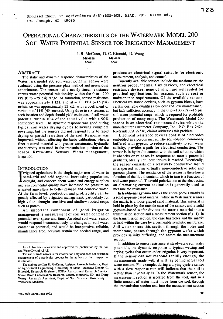# OPERATIONAL CHARACTERISTICS OF THE WATERMARK MODEL 200 SOIL WATER POTENTIAL SENSOR FOR IRRIGATION MANAGEMENT

I. R. McCann, D. C. Kincaid, D. Wang **MEMBER MEMBER** ASAE ASAE

### ABSTRACT

The static and dynamic response characteristics of the Watermark model 200 soil water potential sensor were evaluated using the pressure plate method and greenhouse experiments. The sensor had a nearly linear resistance versus water potential relationship within the  $0$  to  $-200$ kPa (0 to –29 psi) range. At saturation, sensor resistance was approximately 1 k $\Omega$ , and at -103 kPa (-15 psi) resistance was approximately 23 k $\Omega$ , with a coefficient of variation of 11% (49 sensors). Using three to six sensors at each location and depth should yield estimates of soil water potential within 10% of the actual value with a 90% confidence level. The dynamic response was good during typical soil water drying cycles following complete rewetting, but the sensors did not respond fully to rapid drying or partial rewetting of the soil. Response was improved, without affecting the basic calibration, when a finer textured material with greater unsaturated hydraulic conductivity was used in the transmission portion of the sensor. KEYWORDS. Sensors, Water management, Irrigation.

#### **INTRODUCTION**

Internated agriculture is the single major user of water in semi-arid and arid regions. Increasing population drought, and concern about water and energy supplies and environmental quality have increased the pressure on rrigated agriculture is the single major user of water in semi-arid and arid regions. Increasing population, drought, and concern about water and energy supplies irrigated agriculture to better manage and conserve water. At the farm level, production and profitability can be greatly affected by irrigation management, particularly for high value, drought sensitive and shallow rooted crops such as potato.

An important component of good irrigation management is measurement of soil water content or potential over space and time. An ideal soil water sensor would respond instantaneously to changes in soil water content or potential, and would be inexpensive, reliable, maintenance free, accurate within the needed range, and

produce an electrical signal suitable for electronic measurement, analysis, and control.

Currently available sensors include the tensiometer, the neutron probe, thermal flux devices, and electrical resistance devices, none of which are well suited for practical applications for reasons such as cost or maintenance requirements. Of the available sensors, electrical resistance devices, such as gypsum blocks, have certain desirable qualities (low cost and low maintenance), but lack sufficient accuracy in the  $0$  to  $-100$  kPa  $(-15$  psi) soil water potential range, which is required for profitable production of many crops. The Watermark Model 200 sensor is an electrical resistance device which the manufacturer (Irrometer Company, Inc., P.O. Box 2424, Riverside, CA 92516) claims addresses this problem.

Electrical resistance devices consist of electrodes embedded in a porous matrix. The soil solution, commonly buffered with gypsum to reduce sensitivity to soil water salinity, provides a path for electrical conduction. The sensor is in hydraulic contact with the soil solution, which it absorbs or releases in response to matric potential gradients, ideally until equilibrium is reached. Electrically, the sensor consists of a relatively conductive liquid interspersed within virtually non-conductive solid and gaseous phases. The resistance of the sensor is therefore a function of the liquid content, which in turn is a function of soil water potential. To avoid polarization at the electrodes, an alternating current excitation is generally used to measure the resistance.

In traditional gypsum blocks the entire porous matrix is a solid gypsum-based material, while in Watermark sensors the matrix is a loose graded sand material. This material is held in place by the outside case of the sensor, and a solid gypsum-based wafer divides the matrix material into a transmission section and a measurement section (fig. 1). In the transmission section, the case has holes and the matrix is held within the case by a permeable synthetic membrane. Soil water enters this section through the holes and membrane, passes through the gypsum wafer which provides salinity buffering, and enters the measurement section.

In addition to sensor resistance at steady-state soil water potentials, the dynamic response to typical wetting and drying cycles that occur under irrigation is very important. If the sensor can not respond rapidly enough, the measurements made with it will lag behind actual soil water content. For example, during a drying cycle a sensor with a slow response rate will indicate that the soil is wetter than it actually is. In the Watermark sensor, the measurement section is isolated from the soil, and so a finite amount of water must move from the soil, through the transmission section and into the measurement section

VOL. 8(5): SEPTEMBER 1992

Article has been reviewed and approved for publication by the Soil and Water Div. of ASAE.

The use of trade names is for information only and does not constitute endorsement of a particular product by the authors or their respective institutions.

The authors are **Ian R. McCann,** Assistant Research Professor, Dept. of Agricultural Engineering, University of Idaho, Moscow; Dennis C. Kincaid, Research Engineer, USDA-Agricultural Research Service, Snake River Conservation Research Center, Kimberly, ID; and **Dong Wang,** Research Assistant, Dept. of Soil Science, University of Wisconsin, Madison.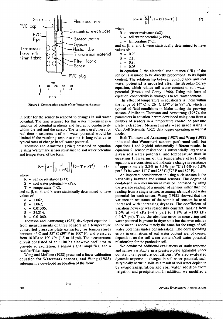

**Figure 1—Construction details of the Watermark sensor.**

in order for the sensor to respond to changes in soil water potential. The time required for this water movement is a function of potential gradients and hydraulic conductivity within the soil and the sensor. The sensor's usefulness for real time measurement of soil water potential would be limited if the resulting response time is long relative to typical rates of change in soil water potential.

Thomson and Armstrong (1987) presented an equation relating Watermark sensor resistance to soil water potential and temperature, of the form:

$$
R = \left\{ \alpha - \left[ \frac{\beta}{(1 + \sigma S)} \right] \right\} (\delta - T + kT^2) \tag{1}
$$

where

R = sensor resistance ( $K\Omega$ ),

 $S =$  soil water potential  $(-kPa)$ ,

 $T =$  temperature ( $^{\circ}$  C),

and  $\alpha$ ,  $\beta$ ,  $\sigma$ ,  $\delta$ , and k were statistically determined to have values of:

 $\alpha$  = 1.062,

 $\beta$  = 1.062,

 $\sigma = 0.01306$ ,

- $\delta = 34.214$
- $k = 0.01060$ .

Thomson and Armstrong (1987) developed equation 1 from measurements of three sensors in a temperature controlled pressure plate extractor, for temperatures between  $4^{\circ}$  C and  $38^{\circ}$  C (39° F to 100° F), and pressures from 10 kPa to 100 kPa (1.5 to 15 psi). The measurement circuit consisted of an 1100 hz sinewave oscillator to provide ac excitation, a sensor signal amplifier, and a rectifier/filter stage.

Wang and McCann (1988) presented a linear calibration equation for Watermark sensors, and Wang (1988) subsequently developed an equation of the form:

star bak

$$
R = \alpha \left[ \frac{S}{\beta} \right]^a [1 + k(18 - T)] \tag{2}
$$

where

R = sensor resistance ( $k\Omega$ ),

 $S =$  soil water potential  $(-kPa)$ ,

 $T =$  temperature ( $^{\circ}$  C),

and  $\alpha$ ,  $\beta$ , a, and k were statistically determined to have values of:

$$
\alpha = 0.93,
$$

 $\beta = 2.1$ 

- $a = 0.8$
- $k = 0.03$ .

In equation 2, the electrical conductance  $(1/R)$  of the sensor is assumed to be directly proportional to its liquid content. The relationship between conductance and soil water potential is modeled after the Brooks-Corey equation, which relates soil water content to soil water potential (Brooks and Corey, 1966). Using this form of equation, conductivity is analogous to soil water content.

The effect of temperature in equation 2 is linear within the range of  $14^{\circ}$  C to  $26^{\circ}$  C (57° F to 79° F), which is typical of field conditions in Idaho during the growing season. Similar to Thomson and Armstrong (1987), the parameters in equation 2 were developed using data from a number of sensors in a temperature controlled pressure plate extractor. Measurements were made using a Campbell Scientific CR21 data logger operating in manual mode.

Both Thomson and Armstrong (1987) and Wang (1988) indicated that Watermark sensors performed well, but equations 1 and 2 yield substantially different results. In equation 2, sensor resistance is substantially larger at a given soil water potential and temperature than in equation 1. In terms of the temperature effect, both equations are consistent and indicate a change in resistance of approximately 2.8% to 3.3% per °C (1.6% to 1.8% per  $\circ$  F) between 14° C and 28° C (57° F and 82° F).

An important consideration in using such sensors is the variability between individual sensors. The degree of confidence in a measurement may be increased by using the average reading of a number of sensors rather than the reading from a single sensor, assuming identical soil water potential for each sensor. Wang (1988) showed that the variance in resistance of the sample of sensors he used increased with increasing dryness. The coefficient of variation however was reasonably constant, ranging from 2.5% at –34 kPa (-4.9 psi) to 1.8% at –103 kPa (-14.7 psi). Thus, the absolute error in measuring soil water potential is greater in dryer soils but the error relative to the mean is approximately the same for the range of soil water potential under consideration. The corresponding errors in estimations of soil water content are, of course, dependent on the soil water content/soil water potential relationship for the particular soil.

We conducted additional evaluations of static response and sensor variability in a pressure-plate apparatus under constant temperature conditions. We also evaluated dynamic response to changes in soil water potential, such as typically occur in soils as a result of soil water depletion by evapotranspiration and soil water addition from irrigation and precipitation. In addition, we modified a

**604 APPLIED ENGINEERING IN AGRICULTURE**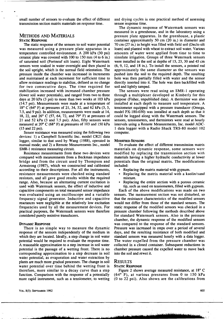small number of sensors to evaluate the effect of different transmission section matrix materials on response time.

## METHODS AND MATERIALS

#### STATIC **RESPONSE**

The static response of the sensors to soil water potential was measured using a pressure plate apparatus in a temperature controlled environment. A 200 kPa (30 psi) ceramic plate was covered with 100 to 150 mm (4 to 6 in.) of saturated soil (Portneuf silt loam). Eight Watermark sensors were soaked in water overnight and then placed in the soil upright, which is the normal field orientation. The pressure inside the chamber was increased in increments and maintained at each increment for sufficient time to allow resistance readings to stabilize, defined as no change for two consecutive days. The time required for stabilization increased with increased chamber pressure (lower soil water potentials), and ranged from two to three days at 20 kPa (3 psi) to more than two weeks at 103 kPa (14.7 psi). Measurements were made at a temperature of 18° C (64° F) at pressures of 21, 34, 52, and 62 kPa (3, 5, 7.5, and 9 psi). In addition, measurements were made at 14, 18, 22, and 26° C (57, 64, 72, and 79° F) at pressures of 21 and 52 kPa (3 and 7.5 psi). Also, fifty sensors were measured at 20° C (68° F) at pressures of 103 and 150 kPa (15 and 22 psi).

Sensor resistance was measured using the following two devices: 1) a Campbell Scientific Inc. model CR21 data logger, similar to that used by Wang (1988), operated in manual mode; and 2) a Remote Measurements Inc., model SMR-1 resistance measuring circuit.

Resistance measurements from these two devices were compared with measurements from a Beckman impedance bridge and from the circuit used by Thompson and Armstrong (1987), which we constructed and calibrated according to their descriptions. For all the instruments, resistance measurements were checked using standard resistors, and all gave good results within the required range. Also, because an alternating current excitation is used with Watermark sensors, the effect of inductive and capacitive components on total measured sensor impedance was evaluated using an oscilloscope and a variable frequency signal generator. Inductive and capacitive reactances were negligible at the relatively low excitation frequencies used by all the measurement devices. For practical purposes, the Watermark sensors were therefore considered purely resistive transducers.

#### **DYNAMIC RESPONSE**

There is no simple way to measure the dynamic response of the sensors independently of the medium in which they are located. Ideally, a step change in soil water potential would be required to evaluate the response time. A reasonable approximation to a step increase in soil water potential is the passage of a wetting front. There is no corresponding approximation to a step decrease in soil water potential, as evaporation and water extraction by plants are much more gradual processes. The change in soil water potential over time behind the wetting front is therefore, more similar to a decay curve than a step function. Comparison with the response of a potentially more rapid instrument, such as a tensiometer, to wetting and drying cycles is one practical method of assessing sensor response time.

The dynamic response of Watermark sensors was measured in a greenhouse, and in the laboratory using a pressure plate apparatus. In the greenhouse, a plastic container approximately 50 cm (20 in.) in diameter and 70 cm (27 in.) in height was filled with field soil (Declo silt loam) and planted with wheat to extract soil water. Various amounts of water were applied from time to time to simulate irrigation. Groups of three Watermark sensors were installed in the soil at depths of 15, 23, 30 and 45 cm (6, 9, 12, and 18 in.). To install the sensors, a pointed rod approximately the same diameter as the sensors was pushed into the soil to the required depth. The resulting hole was then partially filled with water and the sensor directly inserted into it. The hole was then backfilled with soil and lightly tamped.

The sensors were read using an SMR-1 operating through a multiplexer developed at Kimberly for this purpose (Fisher, unpublished data). A thermistor was also installed at each depth to measure soil temperature. A tensiometer equipped with a pressure transducer (Omega, model PX-180-030) was installed at each depth so that it could be logged along with the Watermark sensors. The sensors, tensiometers, and thermistors were read at hourly intervals using a Remote Measurements, Inc. model ADC-1 data logger with a Radio Shack TRS-80 model 102 computer.

#### MODIFIED SENSORS

To evaluate the effect of different transmission matrix materials on dynamic response, some sensors were modified by replacing the transmission section with materials having a higher hydraulic conductivity at lower potentials than the original matrix. The modifications included:

- Replacing the matrix material with gypsum.
- Replacing the matrix material with a kaolin/sand mixture.
- Replacing the entire section with a porous ceramic tip, such as used on tensiometers, filled with gypsum.

Each of the above modifications was made on two sensors. The measurement section was not disturbed, so that the resistance characteristics of the modified sensors would not differ from those of the standard sensors. The static response of the modified sensors was checked in a pressure chamber following the methods described above for standard Watermark sensors. Also in the pressure chamber, the dynamic response of the modified sensors was compared to the response of the standard sensors. Pressure was increased in steps over a period of several days, and the resulting resistance of both modified and standard sensors was measured hourly with a data logger. The water expelled from the pressure chamber was collected in a closed container. Subsequent reductions in chamber pressure caused the expelled water to move back into the soil and rewet it.

#### RESULTS

#### STATIC **RESPONSE**

Figure 2 shows average measured resistance, at 18° C (64° F), at various pressures from 0 to 150 kPa (0 to 22 psi). Also shown are the calibrations from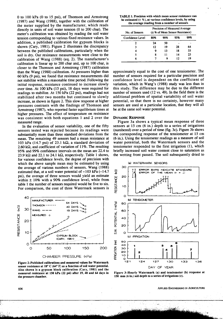0 to 100 kPa (0 to 15 psi), of Thomson and Armstrong (1987) and Wang (1988), together with the calibration of the meter supplied by the manufacturer, which reads directly in units of soil water tension (0 to 200 cbar). The meter's calibration was obtained by reading the soil water tension corresponding to various fixed resistance values. In addition, a published calibration for gypsum blocks is shown (Cary, 1981). Figure 2 illustrates the discrepancy between the published calibrations, particularly when the soil is dry. Our resistance measurements were close to the calibration of Wang (1988) (eq. 2). The manufacturer's calibration is linear up to 200 cbar and, up to 100 cbar, is closer to the Thomson and Armstrong (1987) calibration than the Wang (1988) calibration. At pressures higher than 60 kPa (9 psi), we found that resistance measurements did not stabilize within a reasonable time period. Following the initial response, resistance continued to increase slowly over time. At 100 kPa (15 psi), 18 days were required for readings to stabilize. At 150 kPa (22 psi), readings had not stabilized after two months but continued to slowly increase, as shown in figure 2. This slow response at higher pressures contrasts with the findings of Thomson and Armstrong (1987), who reported faster equilibrium times at higher pressures. The effect of temperature on resistance was consistent with both equations l and 2 over the measured range.

In the evaluation of sensor variability, one of the fifty sensors tested was rejected because its readings were substantially more than three standard deviations from the mean. The remaining 49 sensors had a mean resistance at 103 kPa (14.7 psi) of 23.1 k $\Omega$ , a standard deviation of 2.60 k $\Omega$ , and coefficient of variation of 11%. The resulting 95% and 99% confidence intervals on the mean are 22.4 to 23.9 k $\Omega$  and 22.1 to 24.1 k $\Omega$ , respectively. Table 1 shows, for various confidence levels, the degree of precision with which the above sample mean may be estimated by using the average of various numbers of sensors. Wang (1988) estimated that, at a soil water potential of  $-103$  kPa ( $-14.7$ ) psi), the average of three sensors would yield an estimate within  $\pm$  10% with a 90% confidence level, while from table 1 the number of sensors required would be five to six. For comparison, the cost of three Watermark sensors is



Figure 2—Published calibrations and measured values for Watermark sensor resistance at 18° C (64° F) as a function of soil water potential. Also shown is a gypsum block calibration (Cary, 1981) and the measured resistance at 150 kPa (22 psi) after 19, 40 and 64 days in the pressure chamber.

| <b>TABLE 1. Precision with which mean sensor resistance can</b>  |
|------------------------------------------------------------------|
| be estimated $(\pm \%)$ , at various confidence levels, by using |
| the average reading from a number of sensors                     |

| No. of Sensors<br>Confidence Level | Precision of Measured Average<br>(± % of Mean Sensor Resistance) |     |     |    |
|------------------------------------|------------------------------------------------------------------|-----|-----|----|
|                                    | 80%                                                              | 90% | 95% |    |
|                                    | 24                                                               | 50  |     |    |
| 3                                  | 12                                                               | 19  | 28  | 64 |
|                                    | 9                                                                | 13  | 18  | 33 |
| 5                                  | ጸ                                                                | 11  | 14  | 23 |
|                                    |                                                                  |     | 17  | 19 |

approximately equal to the cost of one tensiometer. The number of sensors required for a particular precision and confidence level is dependent on the coefficient of variation, which in Wang's (1988) study was less than in this study. The difference may be due to the different number of sensors used (12 vs. 49). In the field there is the additional problem of spatial variability of soil water potential, so that there is no certainty, however many sensors are used at a particular location, that they will all be at the same soil water potential.

#### **DYNAMIC RESPONSE**

Figure 3a shows a typical mean response of three sensors at 15 cm (6 in.) depth to a series of irrigations (numbered) over a period of time (fig. 3c). Figure 3b shows the corresponding response of the tensiometer at 15 cm (6 in.). Using the tensiometer readings as a measure of soil water potential, both the Watermark sensors and the tensiometer responded to the first irrigation (1), which briefly increased soil water content close to saturation as the wetting front passed. The soil subsequently dried to



Figure 3—Hourly Watermark (a) and tensiometer (b) response at 150 mm (6 in.) soil depth to a series of irrigations (c).

APPLIED ENGINEERING IN AGRICULTURE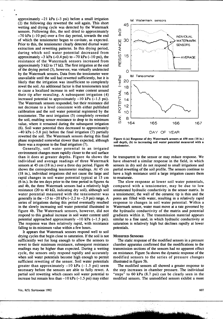approximately  $-21$  kPa  $(-3$  psi) before a small irrigation (2) the following day rewetted the soil again. This short wetting and drying cycle was detected by the Watermark sensors. Following this, the soil dried to approximately  $-70$  kPa  $(-10 \text{ psi})$  over a five day period, towards the end of which the tensiometer began to cavitate, as expected. Prior to this, the tensiometer clearly detected diurnal water extraction and rewetting patterns. In this drying period, during which soil water potential decreased from approximately  $-3$  kPa  $(-0.4$  psi) to  $-70$  kPa  $(-10$  psi), the resistance of the Watermark sensors increased from approximately 3 k $\Omega$  to 17 k $\Omega$ . The first irrigation at the end of the drying period (3), however, was virtually undetected by the Watermark sensors. Data from the tensiometer were unavailable until the soil had rewetted sufficiently, but it is likely that the irrigation was insufficient to completely rewet the soil. An additional factor is that tensiometers tend to cause a localized increase in soil water content around their tip after resealing. A subsequent irrigation (4) increased potential to approximately  $-10$  kPa  $(-1.5 \text{ psi})$ . The Watermark sensors responded, but their resistance did not decrease to a level consistent with either published calibration and the soil water potential registered by the tensiometer. The next irrigation (5) completely rewetted the soil, enabling sensor resistance to drop to its minimum value, where it remained during the subsequent irrigation (6). Soil water potential then decreased to approximately —40 kPa (-5.8 psi) before the final irrigation (7) partially rewetted the soil. The Watermark sensors during this final phase responded somewhat slower than expected, although there was a response to the final irrigation (7).

Generally, soil water potential in an irrigated environment changes more rapidly closer to the soil surface than it does at greater depths. Figure 4a shows the individual and average readings of three Watermark sensors at 45 cm (18 in.) over a three day period. Figure 4b shows the corresponding tensiometer readings. At 45 cm (18 in.), individual irrigations did not cause the large and rapid changes in soil water potential typical at 15 cm (6 in.). In the ten days prior to the time period in figures 4a and 4b, the three Watermark sensors had a relatively high resistance (20 to 40 k $\Omega$ , indicating dry soil), although soil water potential measured with the tensiometer was generally in the  $-15$  to  $-20$  kPa ( $-2.2$  to  $-2.9$  psi) range. A series of irrigations during this period eventually resulted in the slowly increasing soil water potential illustrated in figure 4b. The Watermark sensors, however, did not respond to this gradual increase in soil water content until potential approached approximately  $-10$  kPa  $(-1.5 \text{ psi})$ . The response was then relatively rapid, with resistance falling to its minimum value within a few hours.

It appears that Watermark sensors respond well to soil drying cycles that begin close to saturation. If the soil is not sufficiently wet for long enough to allow the sensors to rewet to their minimum resistance, subsequent resistance readings may be higher than expected. During a wetting cycle, the sensors only respond rapidly and accurately when soil water potentials become high enough to permit sufficient rewetting of the sensor. Soil water potentials greater than approximately  $-10$  kPa  $(-1.5 \text{ psi})$  seem necessary before the sensors are able to fully rewet. A partial soil rewetting which causes soil water potential to increase but remain less than  $-10$  kPa  $(-1.5$  psi) may either



**Figure 4—(a) Response of dry Watermark sensors at 450 mm (18 in.) soil depth, (b) to increasing soil water potential measured with a tensiometer.**

be transparent to the sensor or may reduce response. We have observed a similar response in the field, in which sensors in dry soil do not respond to small irrigations and partial rewetting of the soil profile. The sensors continue to have a high resistance until a large irrigation causes them to resaturate.

The slow response at lower soil water potentials, compared with a tensiometer, may be due to low unsaturated hydraulic conductivity in the sensor matrix. In a tensiometer, the wall of the ceramic tip is thin and the pores are filled with water, resulting in a relatively rapid response to changes in soil water potential. Within a Watermark sensor, water must move at a rate governed by the hydraulic conductivity of the matrix and potential gradients within it. The transmission material appears similar to a fine sand, in which hydraulic conductivity at saturation is relatively high but declines rapidly at lower potentials.

#### **MODIFIED SENSORS**

The static response of the modified sensors in a pressure chamber apparatus confirmed that the modifications to the transmission sections of the sensors had no apparent effect on resistance. Figure 5a shows the dynamic response of the modified sensors to the series of pressure changes illustrated in figure 5b.

The modified sensors all showed a greater response to the step increases in chamber pressure. The individual "steps" to 60 kPa (8.7 psi) can be clearly seen in the modified sensors. The unmodified sensors exhibit a more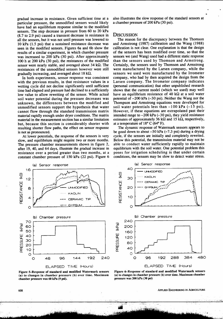gradual increase in resistance. Given sufficient time at a particular pressure, the unmodified sensors would likely have had an equilibrium response similar to the modified sensors. The step decrease in pressure from 60 to 20 kPa (8.7 to 2.9 psi) caused a transient decrease in resistance in all the sensors, but it was not until pressure was lowered to 10 kPa (1.5 psi) that a sustained resistance decrease was seen in the modified sensors. Figures 6a and 6b show the results of a similar experiment, in which chamber pressure was increased to 200 kPa (30 psi). After approximately 100 h at 200 kPa (30 psi), the resistances of the modified sensor were nearly stable, and averaged about 34  $k\Omega$ . The resistances of the unmodified sensors however were still gradually increasing, and averaged about 18 k $\Omega$ .

In both experiments, sensor response was consistent with the previous results, in that resistance values in a wetting cycle did not decline significantly until sufficient time had elapsed and pressure had declined to a sufficiently low value to allow rewetting of the sensor. While actual soil water potential during the pressure decreases was unknown, the differences between the modified and unmodified sensors support the hypothesis that water cannot flow through the standard transmission matrix material rapidly enough under dryer conditions. The matrix material in the measurement section has a similar limitation but, because this section is considerably shorter with resulting shorter flow paths, the effect on sensor response is not as pronounced.

At lower potentials, the response of the sensors is very slow, and equilibrium might require two or more months. The pressure chamber measurements shown in figure 2, after 19, 40, and 64 days, illustrate the gradual increase in resistance over a period greater than two months, at a constant chamber pressure of 150 kPa (22 psi). Figure 6

also illustrates the slow response of the standard sensors at a chamber pressure of 200 kPa (30 psi).

#### **DISCUSSION**

The reason for the discrepancy between the Thomson and Armstrong (1987) calibration and the Wang (1988) calibration is not clear. One explanation is that the design of the sensors has been modified over time, so that the sensors we (and Wang) used had a different static response than the sensors used by Thomson and Armstrong. Certainly, the sensors used by Thomson and Armstrong were manufactured by the Larsen company, while the sensors we used were manufactured by the Irrometer company, who had by then acquired the design from the Larsen company. The Irrometer company indicates (personal communication) that other unpublished research shows that the current model (which we used) may well have an equilibrium resistance of 40 k $\Omega$  at a soil water potential of –200 kPa (-30 psi). Neither the Wang nor the Thompson and Armstrong equations were developed for soil water potentials less than  $-100$  kPa  $(-15$  psi). However, if these equations are extrapolated past their intended range to  $-200$  kPa  $(-30$  psi), they yield resistance estimates of approximately 36 k $\Omega$  and 15 k $\Omega$ , respectively, at a temperature of 18° C (64° F).

The dynamic response of Watermark sensors appears to be good down to about  $-50$  kPa  $(-7.3$  psi) during a drying cycle, if the sensors are initially and completely rewetted. Below this potential, the transmission material may not be able to conduct water sufficiently rapidly to maintain equilibrium with the soil water. One potential problem this poses for irrigation scheduling is that under certain conditions, the sensors may be slow to detect water stress.



**(a) to changes in chamber pressure (b) over time. Maximum chamber pressure was 60 kPa (9 psi).**

**(a) to changes in chamber pressure (b) over time. Maximum chamber pressure was 200 kPa (30 psi)**

608 APPLIED ENGINEERING IN AGRICULTURE